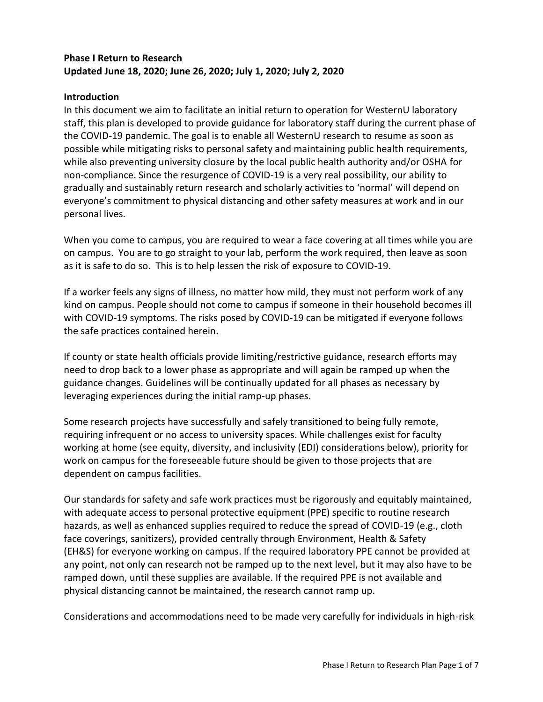## **Phase I Return to Research Updated June 18, 2020; June 26, 2020; July 1, 2020; July 2, 2020**

#### **Introduction**

In this document we aim to facilitate an initial return to operation for WesternU laboratory staff, this plan is developed to provide guidance for laboratory staff during the current phase of the COVID-19 pandemic. The goal is to enable all WesternU research to resume as soon as possible while mitigating risks to personal safety and maintaining public health requirements, while also preventing university closure by the local public health authority and/or OSHA for non-compliance. Since the resurgence of COVID-19 is a very real possibility, our ability to gradually and sustainably return research and scholarly activities to 'normal' will depend on everyone's commitment to physical distancing and other safety measures at work and in our personal lives.

When you come to campus, you are required to wear a face covering at all times while you are on campus. You are to go straight to your lab, perform the work required, then leave as soon as it is safe to do so. This is to help lessen the risk of exposure to COVID-19.

If a worker feels any signs of illness, no matter how mild, they must not perform work of any kind on campus. People should not come to campus if someone in their household becomes ill with COVID-19 symptoms. The risks posed by COVID-19 can be mitigated if everyone follows the safe practices contained herein.

If county or state health officials provide limiting/restrictive guidance, research efforts may need to drop back to a lower phase as appropriate and will again be ramped up when the guidance changes. Guidelines will be continually updated for all phases as necessary by leveraging experiences during the initial ramp-up phases.

Some research projects have successfully and safely transitioned to being fully remote, requiring infrequent or no access to university spaces. While challenges exist for faculty working at home (see equity, diversity, and inclusivity (EDI) considerations below), priority for work on campus for the foreseeable future should be given to those projects that are dependent on campus facilities.

Our standards for safety and safe work practices must be rigorously and equitably maintained, with adequate access to personal protective equipment (PPE) specific to routine research hazards, as well as enhanced supplies required to reduce the spread of COVID-19 (e.g., cloth face coverings, sanitizers), provided centrally through Environment, Health & Safety (EH&S) for everyone working on campus. If the required laboratory PPE cannot be provided at any point, not only can research not be ramped up to the next level, but it may also have to be ramped down, until these supplies are available. If the required PPE is not available and physical distancing cannot be maintained, the research cannot ramp up.

Considerations and accommodations need to be made very carefully for individuals in high-risk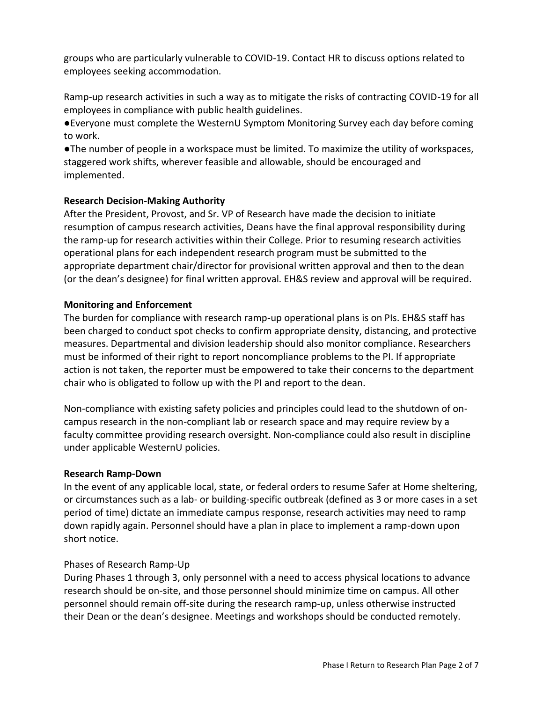groups who are particularly vulnerable to COVID-19. Contact HR to discuss options related to employees seeking accommodation.

Ramp-up research activities in such a way as to mitigate the risks of contracting COVID-19 for all employees in compliance with public health guidelines.

●Everyone must complete the WesternU Symptom Monitoring Survey each day before coming to work.

●The number of people in a workspace must be limited. To maximize the utility of workspaces, staggered work shifts, wherever feasible and allowable, should be encouraged and implemented.

### **Research Decision-Making Authority**

After the President, Provost, and Sr. VP of Research have made the decision to initiate resumption of campus research activities, Deans have the final approval responsibility during the ramp-up for research activities within their College. Prior to resuming research activities operational plans for each independent research program must be submitted to the appropriate department chair/director for provisional written approval and then to the dean (or the dean's designee) for final written approval. EH&S review and approval will be required.

# **Monitoring and Enforcement**

The burden for compliance with research ramp-up operational plans is on PIs. EH&S staff has been charged to conduct spot checks to confirm appropriate density, distancing, and protective measures. Departmental and division leadership should also monitor compliance. Researchers must be informed of their right to report noncompliance problems to the PI. If appropriate action is not taken, the reporter must be empowered to take their concerns to the department chair who is obligated to follow up with the PI and report to the dean.

Non-compliance with existing safety policies and principles could lead to the shutdown of oncampus research in the non-compliant lab or research space and may require review by a faculty committee providing research oversight. Non-compliance could also result in discipline under applicable WesternU policies.

### **Research Ramp-Down**

In the event of any applicable local, state, or federal orders to resume Safer at Home sheltering, or circumstances such as a lab- or building-specific outbreak (defined as 3 or more cases in a set period of time) dictate an immediate campus response, research activities may need to ramp down rapidly again. Personnel should have a plan in place to implement a ramp-down upon short notice.

### Phases of Research Ramp-Up

During Phases 1 through 3, only personnel with a need to access physical locations to advance research should be on-site, and those personnel should minimize time on campus. All other personnel should remain off-site during the research ramp-up, unless otherwise instructed their Dean or the dean's designee. Meetings and workshops should be conducted remotely.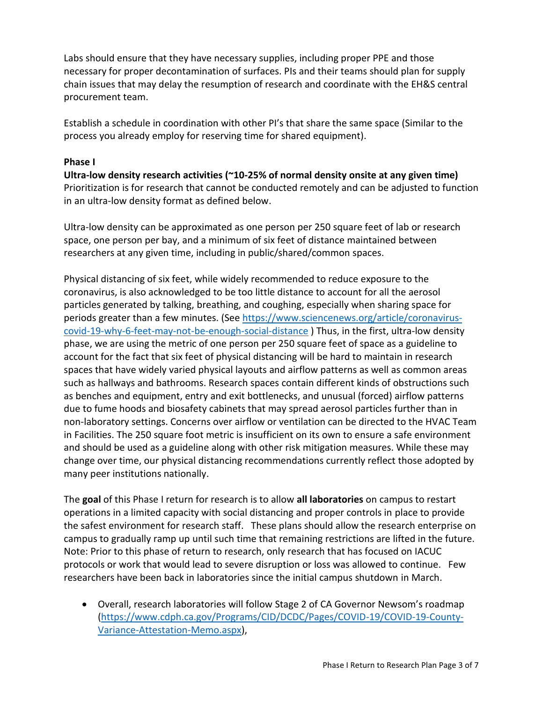Labs should ensure that they have necessary supplies, including proper PPE and those necessary for proper decontamination of surfaces. PIs and their teams should plan for supply chain issues that may delay the resumption of research and coordinate with the EH&S central procurement team.

Establish a schedule in coordination with other PI's that share the same space (Similar to the process you already employ for reserving time for shared equipment).

#### **Phase I**

**Ultra-low density research activities (~10-25% of normal density onsite at any given time)**  Prioritization is for research that cannot be conducted remotely and can be adjusted to function in an ultra-low density format as defined below.

Ultra-low density can be approximated as one person per 250 square feet of lab or research space, one person per bay, and a minimum of six feet of distance maintained between researchers at any given time, including in public/shared/common spaces.

Physical distancing of six feet, while widely recommended to reduce exposure to the coronavirus, is also acknowledged to be too little distance to account for all the aerosol particles generated by talking, breathing, and coughing, especially when sharing space for periods greater than a few minutes. (See [https://www.sciencenews.org/article/coronavirus](https://www.sciencenews.org/article/coronavirus-covid-19-why-6-feet-may-not-be-enough-social-distance)[covid-19-why-6-feet-may-not-be-enough-social-distance](https://www.sciencenews.org/article/coronavirus-covid-19-why-6-feet-may-not-be-enough-social-distance) ) Thus, in the first, ultra-low density phase, we are using the metric of one person per 250 square feet of space as a guideline to account for the fact that six feet of physical distancing will be hard to maintain in research spaces that have widely varied physical layouts and airflow patterns as well as common areas such as hallways and bathrooms. Research spaces contain different kinds of obstructions such as benches and equipment, entry and exit bottlenecks, and unusual (forced) airflow patterns due to fume hoods and biosafety cabinets that may spread aerosol particles further than in non-laboratory settings. Concerns over airflow or ventilation can be directed to the HVAC Team in Facilities. The 250 square foot metric is insufficient on its own to ensure a safe environment and should be used as a guideline along with other risk mitigation measures. While these may change over time, our physical distancing recommendations currently reflect those adopted by many peer institutions nationally.

The **goal** of this Phase I return for research is to allow **all laboratories** on campus to restart operations in a limited capacity with social distancing and proper controls in place to provide the safest environment for research staff. These plans should allow the research enterprise on campus to gradually ramp up until such time that remaining restrictions are lifted in the future. Note: Prior to this phase of return to research, only research that has focused on IACUC protocols or work that would lead to severe disruption or loss was allowed to continue. Few researchers have been back in laboratories since the initial campus shutdown in March.

• Overall, research laboratories will follow Stage 2 of CA Governor Newsom's roadmap [\(https://www.cdph.ca.gov/Programs/CID/DCDC/Pages/COVID-19/COVID-19-County-](https://www.cdph.ca.gov/Programs/CID/DCDC/Pages/COVID-19/COVID-19-County-Variance-Attestation-Memo.aspx)[Variance-Attestation-Memo.aspx\)](https://www.cdph.ca.gov/Programs/CID/DCDC/Pages/COVID-19/COVID-19-County-Variance-Attestation-Memo.aspx),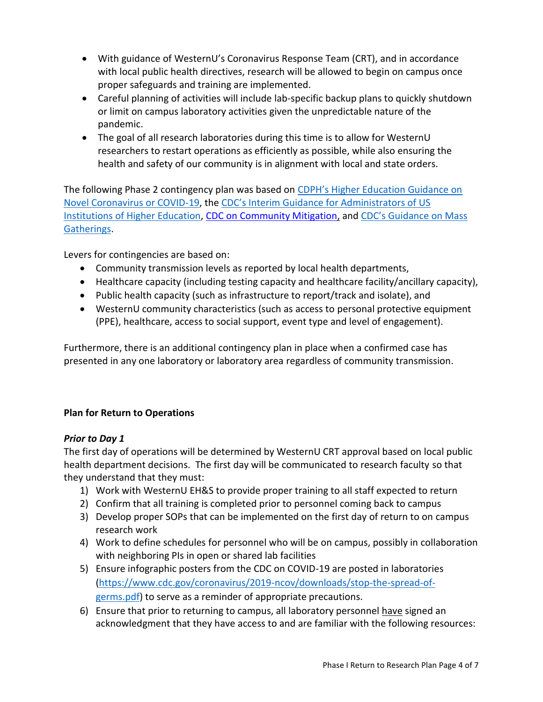- With guidance of WesternU's Coronavirus Response Team (CRT), and in accordance with local public health directives, research will be allowed to begin on campus once proper safeguards and training are implemented.
- Careful planning of activities will include lab-specific backup plans to quickly shutdown or limit on campus laboratory activities given the unpredictable nature of the pandemic.
- The goal of all research laboratories during this time is to allow for WesternU researchers to restart operations as efficiently as possible, while also ensuring the health and safety of our community is in alignment with local and state orders.

The following Phase 2 contingency plan was based on [CDPH's Higher Education Guidance on](https://www.cdph.ca.gov/Programs/CID/DCDC/Pages/COVID-19/HigherEducationGuidanceonNovelCoronavirusorCOVID19.aspx)  [Novel Coronavirus or COVID-19,](https://www.cdph.ca.gov/Programs/CID/DCDC/Pages/COVID-19/HigherEducationGuidanceonNovelCoronavirusorCOVID19.aspx) the CDC'[s Interim Guidance for Administrators of US](https://www.cdc.gov/coronavirus/2019-ncov/community/guidance-ihe-response.html)  [Institutions of Higher Education,](https://www.cdc.gov/coronavirus/2019-ncov/community/guidance-ihe-response.html) [CDC on Community Mitigation,](https://www.cdc.gov/coronavirus/2019-ncov/php/open-america/community-mitigation.html) and [CDC's Guidance on Mass](https://www.cdc.gov/coronavirus/2019-ncov/community/large-events/mass-gatherings-ready-for-covid-19.html)  [Gatherings.](https://www.cdc.gov/coronavirus/2019-ncov/community/large-events/mass-gatherings-ready-for-covid-19.html)

Levers for contingencies are based on:

- Community transmission levels as reported by local health departments,
- Healthcare capacity (including testing capacity and healthcare facility/ancillary capacity),
- Public health capacity (such as infrastructure to report/track and isolate), and
- WesternU community characteristics (such as access to personal protective equipment (PPE), healthcare, access to social support, event type and level of engagement).

Furthermore, there is an additional contingency plan in place when a confirmed case has presented in any one laboratory or laboratory area regardless of community transmission.

### **Plan for Return to Operations**

### *Prior to Day 1*

The first day of operations will be determined by WesternU CRT approval based on local public health department decisions. The first day will be communicated to research faculty so that they understand that they must:

- 1) Work with WesternU EH&S to provide proper training to all staff expected to return
- 2) Confirm that all training is completed prior to personnel coming back to campus
- 3) Develop proper SOPs that can be implemented on the first day of return to on campus research work
- 4) Work to define schedules for personnel who will be on campus, possibly in collaboration with neighboring PIs in open or shared lab facilities
- 5) Ensure infographic posters from the CDC on COVID-19 are posted in laboratories [\(https://www.cdc.gov/coronavirus/2019-ncov/downloads/stop-the-spread-of](https://www.cdc.gov/coronavirus/2019-ncov/downloads/stop-the-spread-of-germs.pdf)germs.pdf) to serve as a reminder of appropriate precautions.
- 6) Ensure that prior to returning to campus, all laboratory personnel have signed an acknowledgment that they have access to and are familiar with the following resources: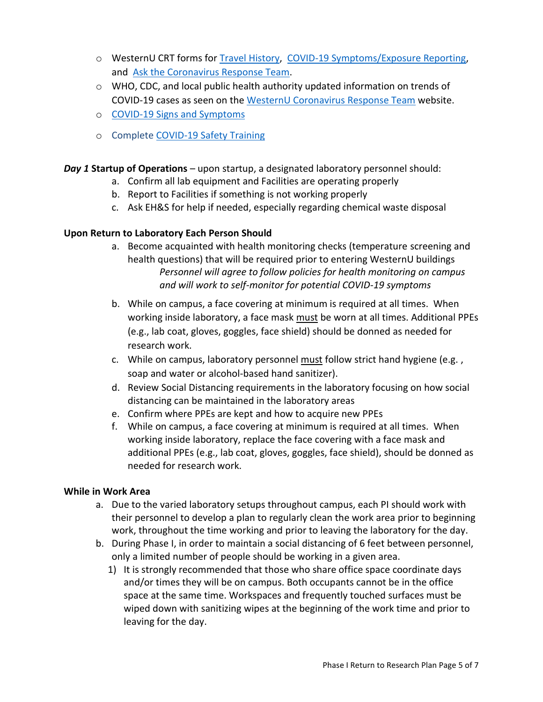- o WesternU CRT forms for [Travel History,](https://westernu.az1.qualtrics.com/jfe/form/SV_39H0niZTaIMWYKx) [COVID-19 Symptoms/Exposure Reporting,](https://westernu.az1.qualtrics.com/jfe/form/SV_eg1tUWhiYA2kVVP) and [Ask the Coronavirus Response Team.](https://westernu.az1.qualtrics.com/jfe/form/SV_1RghsLU4oNxnlCB)
- o WHO, CDC, and local public health authority updated information on trends of COVID-19 cases as seen on the [WesternU Coronavirus Response Team](https://www.westernu.edu/health/health-news/) website.
- o [COVID-19 Signs and Symptoms](https://www.cdc.gov/coronavirus/2019-ncov/symptoms-testing/symptoms.html)
- o Complete [COVID-19 Safety Training](https://ipc.westernu.edu/)

*Day 1* **Startup of Operations** – upon startup, a designated laboratory personnel should:

- a. Confirm all lab equipment and Facilities are operating properly
- b. Report to Facilities if something is not working properly
- c. Ask EH&S for help if needed, especially regarding chemical waste disposal

### **Upon Return to Laboratory Each Person Should**

- a. Become acquainted with health monitoring checks (temperature screening and health questions) that will be required prior to entering WesternU buildings *Personnel will agree to follow policies for health monitoring on campus and will work to self-monitor for potential COVID-19 symptoms*
- b. While on campus, a face covering at minimum is required at all times. When working inside laboratory, a face mask must be worn at all times. Additional PPEs (e.g., lab coat, gloves, goggles, face shield) should be donned as needed for research work.
- c. While on campus, laboratory personnel must follow strict hand hygiene (e.g., soap and water or alcohol-based hand sanitizer).
- d. Review Social Distancing requirements in the laboratory focusing on how social distancing can be maintained in the laboratory areas
- e. Confirm where PPEs are kept and how to acquire new PPEs
- f. While on campus, a face covering at minimum is required at all times. When working inside laboratory, replace the face covering with a face mask and additional PPEs (e.g., lab coat, gloves, goggles, face shield), should be donned as needed for research work.

### **While in Work Area**

- a. Due to the varied laboratory setups throughout campus, each PI should work with their personnel to develop a plan to regularly clean the work area prior to beginning work, throughout the time working and prior to leaving the laboratory for the day.
- b. During Phase I, in order to maintain a social distancing of 6 feet between personnel, only a limited number of people should be working in a given area.
	- 1) It is strongly recommended that those who share office space coordinate days and/or times they will be on campus. Both occupants cannot be in the office space at the same time. Workspaces and frequently touched surfaces must be wiped down with sanitizing wipes at the beginning of the work time and prior to leaving for the day.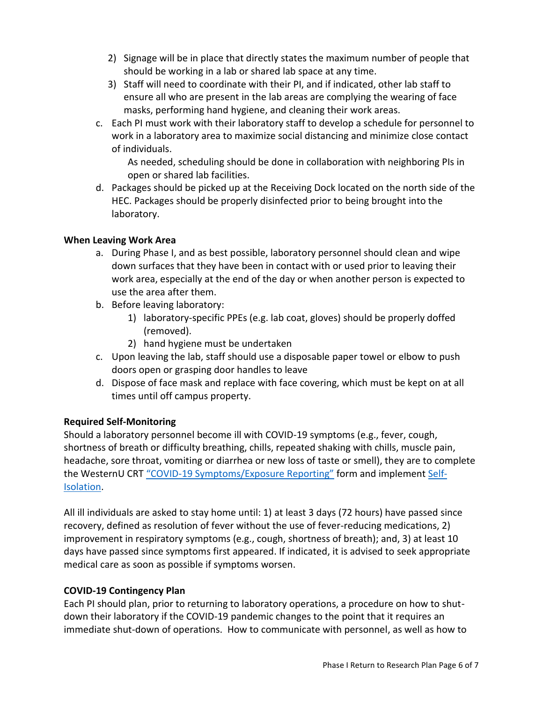- 2) Signage will be in place that directly states the maximum number of people that should be working in a lab or shared lab space at any time.
- 3) Staff will need to coordinate with their PI, and if indicated, other lab staff to ensure all who are present in the lab areas are complying the wearing of face masks, performing hand hygiene, and cleaning their work areas.
- c. Each PI must work with their laboratory staff to develop a schedule for personnel to work in a laboratory area to maximize social distancing and minimize close contact of individuals.

As needed, scheduling should be done in collaboration with neighboring PIs in open or shared lab facilities.

d. Packages should be picked up at the Receiving Dock located on the north side of the HEC. Packages should be properly disinfected prior to being brought into the laboratory.

### **When Leaving Work Area**

- a. During Phase I, and as best possible, laboratory personnel should clean and wipe down surfaces that they have been in contact with or used prior to leaving their work area, especially at the end of the day or when another person is expected to use the area after them.
- b. Before leaving laboratory:
	- 1) laboratory-specific PPEs (e.g. lab coat, gloves) should be properly doffed (removed).
	- 2) hand hygiene must be undertaken
- c. Upon leaving the lab, staff should use a disposable paper towel or elbow to push doors open or grasping door handles to leave
- d. Dispose of face mask and replace with face covering, which must be kept on at all times until off campus property.

### **Required Self-Monitoring**

Should a laboratory personnel become ill with COVID-19 symptoms (e.g., fever, cough, shortness of breath or difficulty breathing, chills, repeated shaking with chills, muscle pain, headache, sore throat, vomiting or diarrhea or new loss of taste or smell), they are to complete the WesternU CRT "COVID-[19 Symptoms/Exposure Reporting"](https://westernu.az1.qualtrics.com/jfe/form/SV_eg1tUWhiYA2kVVP) form and implement [Self-](http://publichealth.lacounty.gov/acd/ncorona2019/covidisolation/)[Isolation.](http://publichealth.lacounty.gov/acd/ncorona2019/covidisolation/)

All ill individuals are asked to stay home until: 1) at least 3 days (72 hours) have passed since recovery, defined as resolution of fever without the use of fever-reducing medications, 2) improvement in respiratory symptoms (e.g., cough, shortness of breath); and, 3) at least 10 days have passed since symptoms first appeared. If indicated, it is advised to seek appropriate medical care as soon as possible if symptoms worsen.

### **COVID-19 Contingency Plan**

Each PI should plan, prior to returning to laboratory operations, a procedure on how to shutdown their laboratory if the COVID-19 pandemic changes to the point that it requires an immediate shut-down of operations. How to communicate with personnel, as well as how to